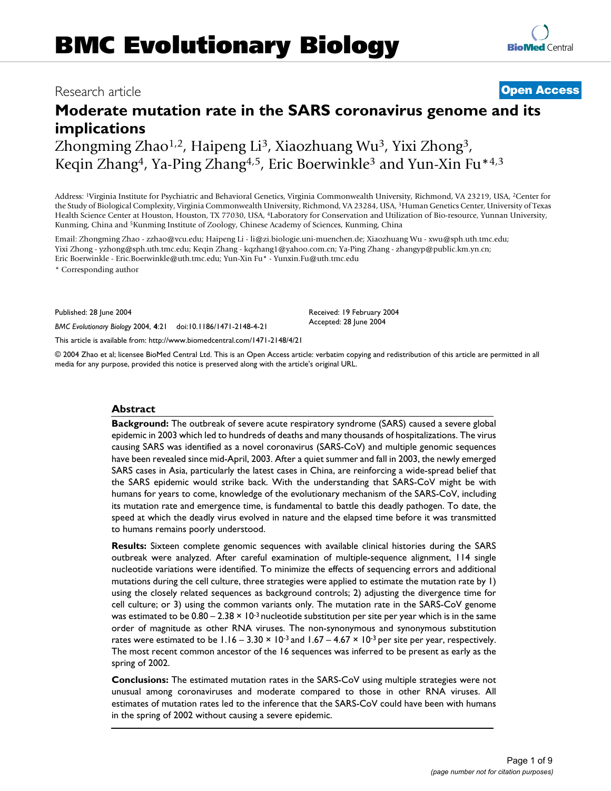## Research article **[Open Access](http://www.biomedcentral.com/info/about/charter/)**

# **Moderate mutation rate in the SARS coronavirus genome and its implications**

Zhongming Zhao1,2, Haipeng Li3, Xiaozhuang Wu3, Yixi Zhong3, Keqin Zhang<sup>4</sup>, Ya-Ping Zhang<sup>4,5</sup>, Eric Boerwinkle<sup>3</sup> and Yun-Xin Fu<sup>\*4,3</sup>

Address: 1Virginia Institute for Psychiatric and Behavioral Genetics, Virginia Commonwealth University, Richmond, VA 23219, USA, 2Center for the Study of Biological Complexity, Virginia Commonwealth University, Richmond, VA 23284, USA, 3Human Genetics Center, University of Texas Health Science Center at Houston, Houston, TX 77030, USA, 4Laboratory for Conservation and Utilization of Bio-resource, Yunnan University, Kunming, China and 5Kunming Institute of Zoology, Chinese Academy of Sciences, Kunming, China

Email: Zhongming Zhao - zzhao@vcu.edu; Haipeng Li - li@zi.biologie.uni-muenchen.de; Xiaozhuang Wu - xwu@sph.uth.tmc.edu; Yixi Zhong - yzhong@sph.uth.tmc.edu; Keqin Zhang - kqzhang1@yahoo.com.cn; Ya-Ping Zhang - zhangyp@public.km.yn.cn; Eric Boerwinkle - Eric.Boerwinkle@uth.tmc.edu; Yun-Xin Fu\* - Yunxin.Fu@uth.tmc.edu

\* Corresponding author

Published: 28 June 2004

*BMC Evolutionary Biology* 2004, **4**:21 doi:10.1186/1471-2148-4-21

[This article is available from: http://www.biomedcentral.com/1471-2148/4/21](http://www.biomedcentral.com/1471-2148/4/21)

© 2004 Zhao et al; licensee BioMed Central Ltd. This is an Open Access article: verbatim copying and redistribution of this article are permitted in all media for any purpose, provided this notice is preserved along with the article's original URL.

### **Abstract**

**Background:** The outbreak of severe acute respiratory syndrome (SARS) caused a severe global epidemic in 2003 which led to hundreds of deaths and many thousands of hospitalizations. The virus causing SARS was identified as a novel coronavirus (SARS-CoV) and multiple genomic sequences have been revealed since mid-April, 2003. After a quiet summer and fall in 2003, the newly emerged SARS cases in Asia, particularly the latest cases in China, are reinforcing a wide-spread belief that the SARS epidemic would strike back. With the understanding that SARS-CoV might be with humans for years to come, knowledge of the evolutionary mechanism of the SARS-CoV, including its mutation rate and emergence time, is fundamental to battle this deadly pathogen. To date, the speed at which the deadly virus evolved in nature and the elapsed time before it was transmitted to humans remains poorly understood.

**Results:** Sixteen complete genomic sequences with available clinical histories during the SARS outbreak were analyzed. After careful examination of multiple-sequence alignment, 114 single nucleotide variations were identified. To minimize the effects of sequencing errors and additional mutations during the cell culture, three strategies were applied to estimate the mutation rate by 1) using the closely related sequences as background controls; 2) adjusting the divergence time for cell culture; or 3) using the common variants only. The mutation rate in the SARS-CoV genome was estimated to be  $0.80 - 2.38 \times 10^{-3}$  nucleotide substitution per site per year which is in the same order of magnitude as other RNA viruses. The non-synonymous and synonymous substitution rates were estimated to be  $1.16 - 3.30 \times 10^{-3}$  and  $1.67 - 4.67 \times 10^{-3}$  per site per year, respectively. The most recent common ancestor of the 16 sequences was inferred to be present as early as the spring of 2002.

**Conclusions:** The estimated mutation rates in the SARS-CoV using multiple strategies were not unusual among coronaviruses and moderate compared to those in other RNA viruses. All estimates of mutation rates led to the inference that the SARS-CoV could have been with humans in the spring of 2002 without causing a severe epidemic.

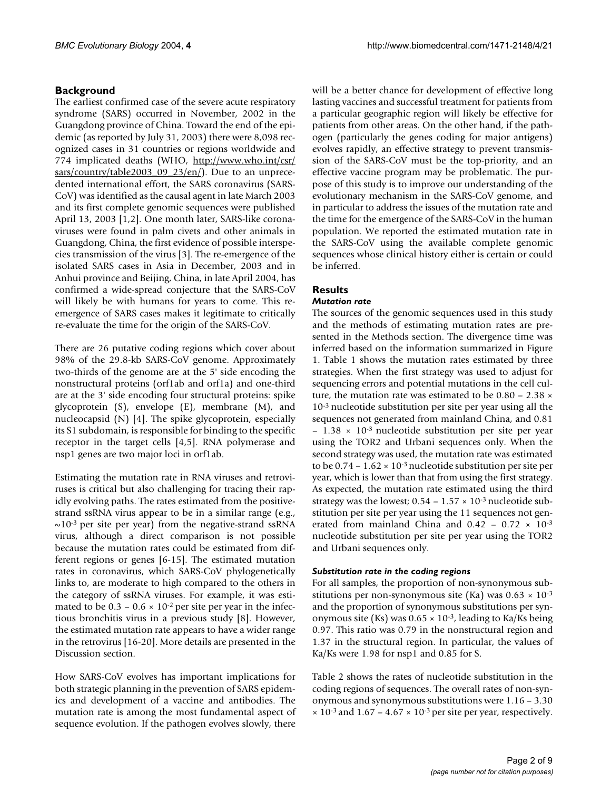## **Background**

The earliest confirmed case of the severe acute respiratory syndrome (SARS) occurred in November, 2002 in the Guangdong province of China. Toward the end of the epidemic (as reported by July 31, 2003) there were 8,098 recognized cases in 31 countries or regions worldwide and 774 implicated deaths (WHO, [http://www.who.int/csr/](http://www.who.int/csr/sars/country/table2003_09_23/en/) [sars/country/table2003\\_09\\_23/en/\)](http://www.who.int/csr/sars/country/table2003_09_23/en/). Due to an unprecedented international effort, the SARS coronavirus (SARS-CoV) was identified as the causal agent in late March 2003 and its first complete genomic sequences were published April 13, 2003 [1,2]. One month later, SARS-like coronaviruses were found in palm civets and other animals in Guangdong, China, the first evidence of possible interspecies transmission of the virus [3]. The re-emergence of the isolated SARS cases in Asia in December, 2003 and in Anhui province and Beijing, China, in late April 2004, has confirmed a wide-spread conjecture that the SARS-CoV will likely be with humans for years to come. This reemergence of SARS cases makes it legitimate to critically re-evaluate the time for the origin of the SARS-CoV.

There are 26 putative coding regions which cover about 98% of the 29.8-kb SARS-CoV genome. Approximately two-thirds of the genome are at the 5' side encoding the nonstructural proteins (orf1ab and orf1a) and one-third are at the 3' side encoding four structural proteins: spike glycoprotein (S), envelope (E), membrane (M), and nucleocapsid (N) [4]. The spike glycoprotein, especially its S1 subdomain, is responsible for binding to the specific receptor in the target cells [4,5]. RNA polymerase and nsp1 genes are two major loci in orf1ab.

Estimating the mutation rate in RNA viruses and retroviruses is critical but also challenging for tracing their rapidly evolving paths. The rates estimated from the positivestrand ssRNA virus appear to be in a similar range (e.g.,  $\sim$ 10<sup>-3</sup> per site per year) from the negative-strand ssRNA virus, although a direct comparison is not possible because the mutation rates could be estimated from different regions or genes [6-15]. The estimated mutation rates in coronavirus, which SARS-CoV phylogenetically links to, are moderate to high compared to the others in the category of ssRNA viruses. For example, it was estimated to be  $0.3 - 0.6 \times 10^{-2}$  per site per year in the infectious bronchitis virus in a previous study [8]. However, the estimated mutation rate appears to have a wider range in the retrovirus [16-20]. More details are presented in the Discussion section.

How SARS-CoV evolves has important implications for both strategic planning in the prevention of SARS epidemics and development of a vaccine and antibodies. The mutation rate is among the most fundamental aspect of sequence evolution. If the pathogen evolves slowly, there will be a better chance for development of effective long lasting vaccines and successful treatment for patients from a particular geographic region will likely be effective for patients from other areas. On the other hand, if the pathogen (particularly the genes coding for major antigens) evolves rapidly, an effective strategy to prevent transmission of the SARS-CoV must be the top-priority, and an effective vaccine program may be problematic. The purpose of this study is to improve our understanding of the evolutionary mechanism in the SARS-CoV genome, and in particular to address the issues of the mutation rate and the time for the emergence of the SARS-CoV in the human population. We reported the estimated mutation rate in the SARS-CoV using the available complete genomic sequences whose clinical history either is certain or could be inferred.

## **Results**

## *Mutation rate*

The sources of the genomic sequences used in this study and the methods of estimating mutation rates are presented in the Methods section. The divergence time was inferred based on the information summarized in Figure [1](#page-2-0). Table [1](#page-3-0) shows the mutation rates estimated by three strategies. When the first strategy was used to adjust for sequencing errors and potential mutations in the cell culture, the mutation rate was estimated to be 0.80 - 2.38  $\times$ 10-3 nucleotide substitution per site per year using all the sequences not generated from mainland China, and 0.81  $-1.38 \times 10^{-3}$  nucleotide substitution per site per year using the TOR2 and Urbani sequences only. When the second strategy was used, the mutation rate was estimated to be  $0.74 - 1.62 \times 10^{-3}$  nucleotide substitution per site per year, which is lower than that from using the first strategy. As expected, the mutation rate estimated using the third strategy was the lowest;  $0.54 - 1.57 \times 10^{-3}$  nucleotide substitution per site per year using the 11 sequences not generated from mainland China and  $0.42 - 0.72 \times 10^{-3}$ nucleotide substitution per site per year using the TOR2 and Urbani sequences only.

## *Substitution rate in the coding regions*

For all samples, the proportion of non-synonymous substitutions per non-synonymous site (Ka) was  $0.63 \times 10^{-3}$ and the proportion of synonymous substitutions per synonymous site (Ks) was  $0.65 \times 10^{-3}$ , leading to Ka/Ks being 0.97. This ratio was 0.79 in the nonstructural region and 1.37 in the structural region. In particular, the values of Ka/Ks were 1.98 for nsp1 and 0.85 for S.

Table [2](#page-3-1) shows the rates of nucleotide substitution in the coding regions of sequences. The overall rates of non-synonymous and synonymous substitutions were 1.16 – 3.30  $\times$  10<sup>-3</sup> and 1.67 – 4.67  $\times$  10<sup>-3</sup> per site per year, respectively.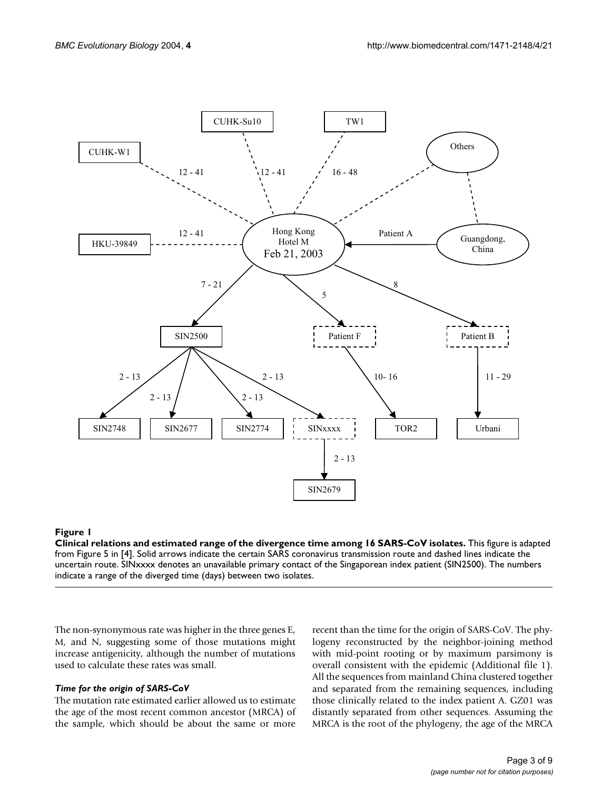<span id="page-2-0"></span>

## Clinical relations and estimated range of th **Figure 1** e divergence time among 16 SARS-CoV isolates

**Clinical relations and estimated range of the divergence time among 16 SARS-CoV isolates.** This figure is adapted from Figure 5 in [4]. Solid arrows indicate the certain SARS coronavirus transmission route and dashed lines indicate the uncertain route. SINxxxx denotes an unavailable primary contact of the Singaporean index patient (SIN2500). The numbers indicate a range of the diverged time (days) between two isolates.

The non-synonymous rate was higher in the three genes E, M, and N, suggesting some of those mutations might increase antigenicity, although the number of mutations used to calculate these rates was small.

## *Time for the origin of SARS-CoV*

The mutation rate estimated earlier allowed us to estimate the age of the most recent common ancestor (MRCA) of the sample, which should be about the same or more recent than the time for the origin of SARS-CoV. The phylogeny reconstructed by the neighbor-joining method with mid-point rooting or by maximum parsimony is overall consistent with the epidemic (Additional file 1). All the sequences from mainland China clustered together and separated from the remaining sequences, including those clinically related to the index patient A. GZ01 was distantly separated from other sequences. Assuming the MRCA is the root of the phylogeny, the age of the MRCA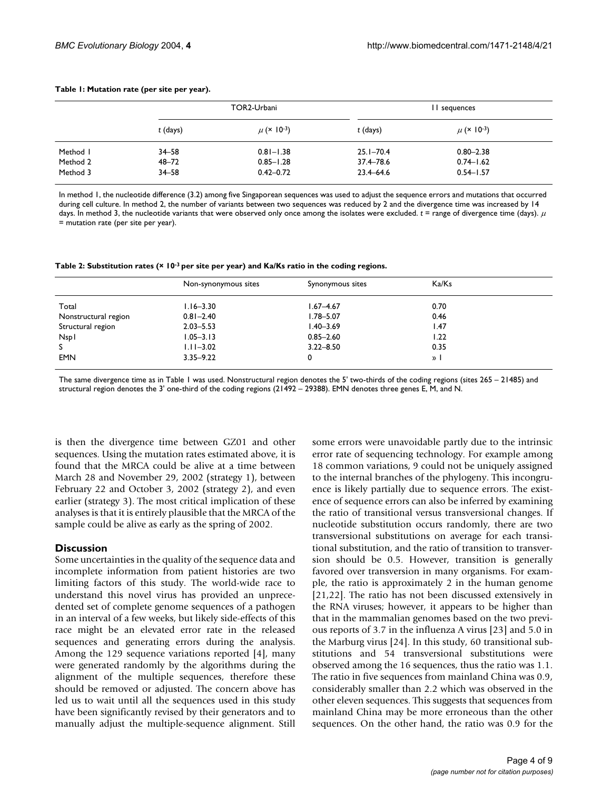|          | TOR2-Urbani |                | I sequences   |                |  |
|----------|-------------|----------------|---------------|----------------|--|
|          | $t$ (days)  | $\mu$ (× 10-3) | $t$ (days)    | $\mu$ (× 10-3) |  |
| Method I | $34 - 58$   | $0.81 - 1.38$  | $25.1 - 70.4$ | $0.80 - 2.38$  |  |
| Method 2 | $48 - 72$   | $0.85 - 1.28$  | 37.4-78.6     | $0.74 - 1.62$  |  |
| Method 3 | $34 - 58$   | $0.42 - 0.72$  | $23.4 - 64.6$ | $0.54 - 1.57$  |  |

#### <span id="page-3-0"></span>**Table 1: Mutation rate (per site per year).**

In method 1, the nucleotide difference (3.2) among five Singaporean sequences was used to adjust the sequence errors and mutations that occurred during cell culture. In method 2, the number of variants between two sequences was reduced by 2 and the divergence time was increased by 14 days. In method 3, the nucleotide variants that were observed only once among the isolates were excluded. *t* = range of divergence time (days).  $\mu$ = mutation rate (per site per year).

<span id="page-3-1"></span>

|  |  | Table 2: Substitution rates ( $\times$ 10 <sup>-3</sup> per site per year) and Ka/Ks ratio in the coding regions. |  |
|--|--|-------------------------------------------------------------------------------------------------------------------|--|
|--|--|-------------------------------------------------------------------------------------------------------------------|--|

|                      | Non-synonymous sites | Synonymous sites | Ka/Ks   |  |
|----------------------|----------------------|------------------|---------|--|
| Total                | $1.16 - 3.30$        | $1.67 - 4.67$    | 0.70    |  |
| Nonstructural region | $0.81 - 2.40$        | $1.78 - 5.07$    | 0.46    |  |
| Structural region    | $2.03 - 5.53$        | $1.40 - 3.69$    | 1.47    |  |
| <b>Nspl</b>          | $1.05 - 3.13$        | $0.85 - 2.60$    | 1.22    |  |
| S                    | $1.11 - 3.02$        | $3.22 - 8.50$    | 0.35    |  |
| <b>EMN</b>           | $3.35 - 9.22$        |                  | $\gg$ 1 |  |

The same divergence time as in Table 1 was used. Nonstructural region denotes the 5' two-thirds of the coding regions (sites 265 – 21485) and structural region denotes the 3' one-third of the coding regions (21492 – 29388). EMN denotes three genes E, M, and N.

is then the divergence time between GZ01 and other sequences. Using the mutation rates estimated above, it is found that the MRCA could be alive at a time between March 28 and November 29, 2002 (strategy 1), between February 22 and October 3, 2002 (strategy 2), and even earlier (strategy 3). The most critical implication of these analyses is that it is entirely plausible that the MRCA of the sample could be alive as early as the spring of 2002.

#### **Discussion**

Some uncertainties in the quality of the sequence data and incomplete information from patient histories are two limiting factors of this study. The world-wide race to understand this novel virus has provided an unprecedented set of complete genome sequences of a pathogen in an interval of a few weeks, but likely side-effects of this race might be an elevated error rate in the released sequences and generating errors during the analysis. Among the 129 sequence variations reported [4], many were generated randomly by the algorithms during the alignment of the multiple sequences, therefore these should be removed or adjusted. The concern above has led us to wait until all the sequences used in this study have been significantly revised by their generators and to manually adjust the multiple-sequence alignment. Still

some errors were unavoidable partly due to the intrinsic error rate of sequencing technology. For example among 18 common variations, 9 could not be uniquely assigned to the internal branches of the phylogeny. This incongruence is likely partially due to sequence errors. The existence of sequence errors can also be inferred by examining the ratio of transitional versus transversional changes. If nucleotide substitution occurs randomly, there are two transversional substitutions on average for each transitional substitution, and the ratio of transition to transversion should be 0.5. However, transition is generally favored over transversion in many organisms. For example, the ratio is approximately 2 in the human genome [21,22]. The ratio has not been discussed extensively in the RNA viruses; however, it appears to be higher than that in the mammalian genomes based on the two previous reports of 3.7 in the influenza A virus [23] and 5.0 in the Marburg virus [24]. In this study, 60 transitional substitutions and 54 transversional substitutions were observed among the 16 sequences, thus the ratio was 1.1. The ratio in five sequences from mainland China was 0.9, considerably smaller than 2.2 which was observed in the other eleven sequences. This suggests that sequences from mainland China may be more erroneous than the other sequences. On the other hand, the ratio was 0.9 for the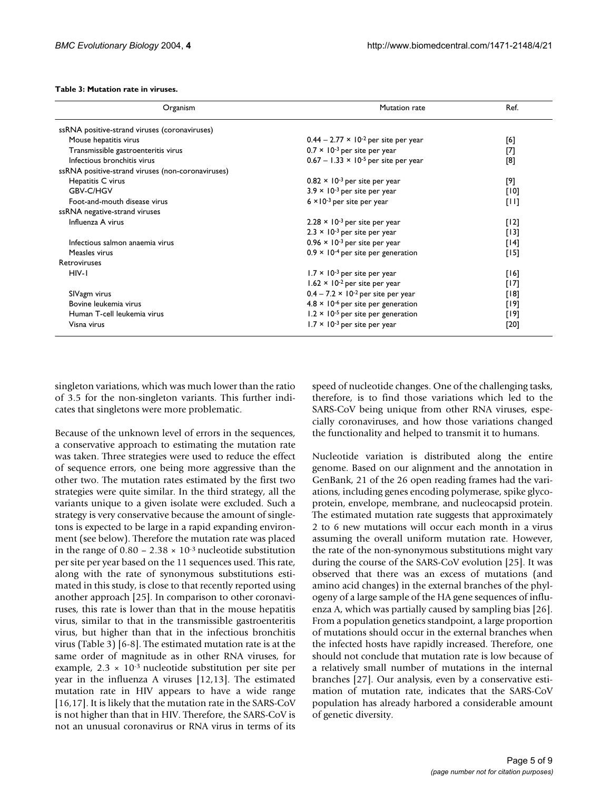#### **Table 3: Mutation rate in viruses.**

| Organism                                          | Mutation rate                                  | Ref.   |
|---------------------------------------------------|------------------------------------------------|--------|
| ssRNA positive-strand viruses (coronaviruses)     |                                                |        |
| Mouse hepatitis virus                             | $0.44 - 2.77 \times 10^{-2}$ per site per year | [6]    |
| Transmissible gastroenteritis virus               | $0.7 \times 10^{-3}$ per site per year         | [7]    |
| Infectious bronchitis virus                       | $0.67 - 1.33 \times 10^{-5}$ per site per year | [8]    |
| ssRNA positive-strand viruses (non-coronaviruses) |                                                |        |
| Hepatitis C virus                                 | $0.82 \times 10^{-3}$ per site per year        | [9]    |
| GBV-C/HGV                                         | $3.9 \times 10^{-3}$ per site per year         | [10]   |
| Foot-and-mouth disease virus                      | $6 \times 10^{-3}$ per site per year           | [11]   |
| ssRNA negative-strand viruses                     |                                                |        |
| Influenza A virus                                 | $2.28 \times 10^{-3}$ per site per year        | $[12]$ |
|                                                   | $2.3 \times 10^{-3}$ per site per year         | $[13]$ |
| Infectious salmon anaemia virus                   | $0.96 \times 10^{-3}$ per site per year        | [14]   |
| Measles virus                                     | $0.9 \times 10^{-4}$ per site per generation   | [15]   |
| <b>Retroviruses</b>                               |                                                |        |
| HIV-I                                             | $1.7 \times 10^{-3}$ per site per year         | [16]   |
|                                                   | $1.62 \times 10^{-2}$ per site per year        | [17]   |
| SIVagm virus                                      | $0.4 - 7.2 \times 10^{-2}$ per site per year   | [18]   |
| Bovine leukemia virus                             | $4.8 \times 10^{-6}$ per site per generation   | [19]   |
| Human T-cell leukemia virus                       | $1.2 \times 10^{-5}$ per site per generation   | [19]   |
| Visna virus                                       | $1.7 \times 10^{-3}$ per site per year         | $[20]$ |

singleton variations, which was much lower than the ratio of 3.5 for the non-singleton variants. This further indicates that singletons were more problematic.

Because of the unknown level of errors in the sequences, a conservative approach to estimating the mutation rate was taken. Three strategies were used to reduce the effect of sequence errors, one being more aggressive than the other two. The mutation rates estimated by the first two strategies were quite similar. In the third strategy, all the variants unique to a given isolate were excluded. Such a strategy is very conservative because the amount of singletons is expected to be large in a rapid expanding environment (see below). Therefore the mutation rate was placed in the range of  $0.80 - 2.38 \times 10^{-3}$  nucleotide substitution per site per year based on the 11 sequences used. This rate, along with the rate of synonymous substitutions estimated in this study, is close to that recently reported using another approach [25]. In comparison to other coronaviruses, this rate is lower than that in the mouse hepatitis virus, similar to that in the transmissible gastroenteritis virus, but higher than that in the infectious bronchitis virus (Table 3) [6-8]. The estimated mutation rate is at the same order of magnitude as in other RNA viruses, for example,  $2.3 \times 10^{-3}$  nucleotide substitution per site per year in the influenza A viruses [12,13]. The estimated mutation rate in HIV appears to have a wide range [16,17]. It is likely that the mutation rate in the SARS-CoV is not higher than that in HIV. Therefore, the SARS-CoV is not an unusual coronavirus or RNA virus in terms of its

speed of nucleotide changes. One of the challenging tasks, therefore, is to find those variations which led to the SARS-CoV being unique from other RNA viruses, especially coronaviruses, and how those variations changed the functionality and helped to transmit it to humans.

Nucleotide variation is distributed along the entire genome. Based on our alignment and the annotation in GenBank, 21 of the 26 open reading frames had the variations, including genes encoding polymerase, spike glycoprotein, envelope, membrane, and nucleocapsid protein. The estimated mutation rate suggests that approximately 2 to 6 new mutations will occur each month in a virus assuming the overall uniform mutation rate. However, the rate of the non-synonymous substitutions might vary during the course of the SARS-CoV evolution [25]. It was observed that there was an excess of mutations (and amino acid changes) in the external branches of the phylogeny of a large sample of the HA gene sequences of influenza A, which was partially caused by sampling bias [26]. From a population genetics standpoint, a large proportion of mutations should occur in the external branches when the infected hosts have rapidly increased. Therefore, one should not conclude that mutation rate is low because of a relatively small number of mutations in the internal branches [27]. Our analysis, even by a conservative estimation of mutation rate, indicates that the SARS-CoV population has already harbored a considerable amount of genetic diversity.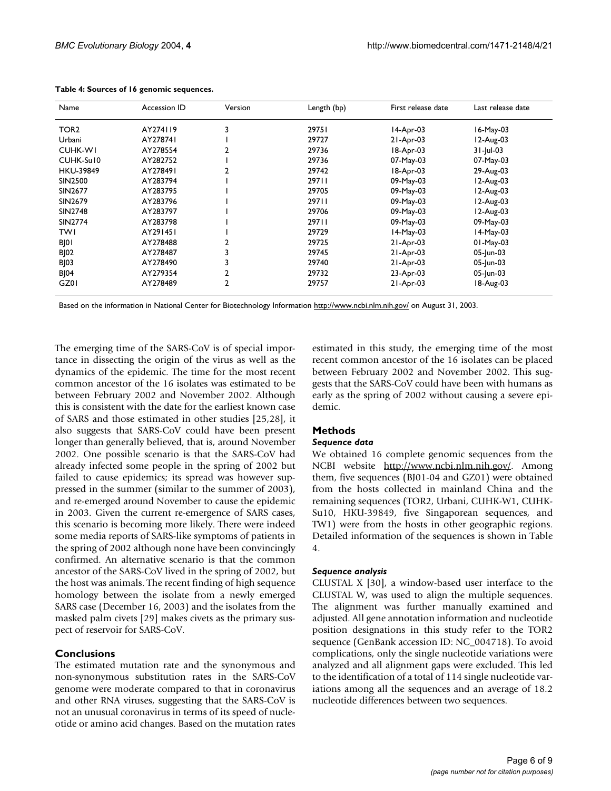| Name                    | Accession ID | Version        | Length (bp) | First release date | Last release date |
|-------------------------|--------------|----------------|-------------|--------------------|-------------------|
| TOR <sub>2</sub>        | AY274119     | 3              | 29751       | $14-Apr-03$        | 16-May-03         |
| Urbani                  | AY278741     |                | 29727       | 21-Apr-03          | 12-Aug-03         |
| <b>CUHK-WI</b>          | AY278554     | 2              | 29736       | 18-Apr-03          | $31$ -Jul-03      |
| CUHK-Sul0               | AY282752     |                | 29736       | 07-May-03          | 07-May-03         |
| <b>HKU-39849</b>        | AY278491     |                | 29742       | 18-Apr-03          | 29-Aug-03         |
| SIN2500                 | AY283794     |                | 29711       | 09-May-03          | 12-Aug-03         |
| <b>SIN2677</b>          | AY283795     |                | 29705       | 09-May-03          | 12-Aug-03         |
| SIN2679                 | AY283796     |                | 29711       | 09-May-03          | 12-Aug-03         |
| <b>SIN2748</b>          | AY283797     |                | 29706       | 09-May-03          | 12-Aug-03         |
| <b>SIN2774</b>          | AY283798     |                | 29711       | 09-May-03          | 09-May-03         |
| TWI                     | AY291451     |                | 29729       | 14-May-03          | 14-May-03         |
| B <sub> 0</sub>         | AY278488     |                | 29725       | 21-Apr-03          | 01-May-03         |
| <b>B</b> <sub>102</sub> | AY278487     |                | 29745       | 21-Apr-03          | 05-Jun-03         |
| <b>B</b> <sub>103</sub> | AY278490     |                | 29740       | 21-Apr-03          | 05-Jun-03         |
| <b>B</b> <sub>104</sub> | AY279354     | $\mathbf{2}$   | 29732       | 23-Apr-03          | 05-Jun-03         |
| GZ01                    | AY278489     | $\overline{2}$ | 29757       | 21-Apr-03          | 18-Aug-03         |

<span id="page-5-0"></span>**Table 4: Sources of 16 genomic sequences.**

Based on the information in National Center for Biotechnology Information <http://www.ncbi.nlm.nih.gov/>on August 31, 2003.

The emerging time of the SARS-CoV is of special importance in dissecting the origin of the virus as well as the dynamics of the epidemic. The time for the most recent common ancestor of the 16 isolates was estimated to be between February 2002 and November 2002. Although this is consistent with the date for the earliest known case of SARS and those estimated in other studies [25,28], it also suggests that SARS-CoV could have been present longer than generally believed, that is, around November 2002. One possible scenario is that the SARS-CoV had already infected some people in the spring of 2002 but failed to cause epidemics; its spread was however suppressed in the summer (similar to the summer of 2003), and re-emerged around November to cause the epidemic in 2003. Given the current re-emergence of SARS cases, this scenario is becoming more likely. There were indeed some media reports of SARS-like symptoms of patients in the spring of 2002 although none have been convincingly confirmed. An alternative scenario is that the common ancestor of the SARS-CoV lived in the spring of 2002, but the host was animals. The recent finding of high sequence homology between the isolate from a newly emerged SARS case (December 16, 2003) and the isolates from the masked palm civets [29] makes civets as the primary suspect of reservoir for SARS-CoV.

## **Conclusions**

The estimated mutation rate and the synonymous and non-synonymous substitution rates in the SARS-CoV genome were moderate compared to that in coronavirus and other RNA viruses, suggesting that the SARS-CoV is not an unusual coronavirus in terms of its speed of nucleotide or amino acid changes. Based on the mutation rates estimated in this study, the emerging time of the most recent common ancestor of the 16 isolates can be placed between February 2002 and November 2002. This suggests that the SARS-CoV could have been with humans as early as the spring of 2002 without causing a severe epidemic.

## **Methods**

#### *Sequence data*

We obtained 16 complete genomic sequences from the NCBI website <http://www.ncbi.nlm.nih.gov/>. Among them, five sequences (BJ01-04 and GZ01) were obtained from the hosts collected in mainland China and the remaining sequences (TOR2, Urbani, CUHK-W1, CUHK-Su10, HKU-39849, five Singaporean sequences, and TW1) were from the hosts in other geographic regions. Detailed information of the sequences is shown in Table [4](#page-5-0).

### *Sequence analysis*

CLUSTAL X [30], a window-based user interface to the CLUSTAL W, was used to align the multiple sequences. The alignment was further manually examined and adjusted. All gene annotation information and nucleotide position designations in this study refer to the TOR2 sequence (GenBank accession ID: NC\_004718). To avoid complications, only the single nucleotide variations were analyzed and all alignment gaps were excluded. This led to the identification of a total of 114 single nucleotide variations among all the sequences and an average of 18.2 nucleotide differences between two sequences.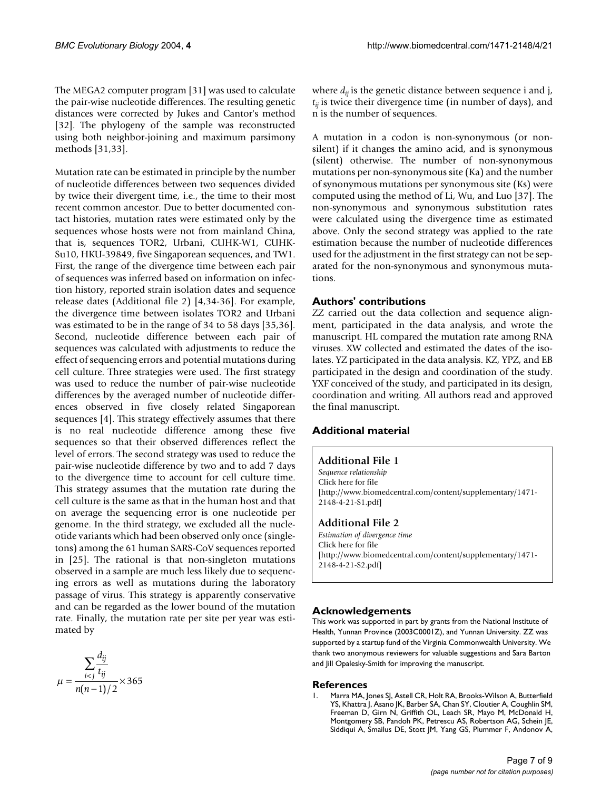The MEGA2 computer program [31] was used to calculate the pair-wise nucleotide differences. The resulting genetic distances were corrected by Jukes and Cantor's method [32]. The phylogeny of the sample was reconstructed using both neighbor-joining and maximum parsimony methods [31,33].

Mutation rate can be estimated in principle by the number of nucleotide differences between two sequences divided by twice their divergent time, i.e., the time to their most recent common ancestor. Due to better documented contact histories, mutation rates were estimated only by the sequences whose hosts were not from mainland China, that is, sequences TOR2, Urbani, CUHK-W1, CUHK-Su10, HKU-39849, five Singaporean sequences, and TW1. First, the range of the divergence time between each pair of sequences was inferred based on information on infection history, reported strain isolation dates and sequence release dates (Additional file 2) [4,34-36]. For example, the divergence time between isolates TOR2 and Urbani was estimated to be in the range of 34 to 58 days [35,36]. Second, nucleotide difference between each pair of sequences was calculated with adjustments to reduce the effect of sequencing errors and potential mutations during cell culture. Three strategies were used. The first strategy was used to reduce the number of pair-wise nucleotide differences by the averaged number of nucleotide differences observed in five closely related Singaporean sequences [4]. This strategy effectively assumes that there is no real nucleotide difference among these five sequences so that their observed differences reflect the level of errors. The second strategy was used to reduce the pair-wise nucleotide difference by two and to add 7 days to the divergence time to account for cell culture time. This strategy assumes that the mutation rate during the cell culture is the same as that in the human host and that on average the sequencing error is one nucleotide per genome. In the third strategy, we excluded all the nucleotide variants which had been observed only once (singletons) among the 61 human SARS-CoV sequences reported in [25]. The rational is that non-singleton mutations observed in a sample are much less likely due to sequencing errors as well as mutations during the laboratory passage of virus. This strategy is apparently conservative and can be regarded as the lower bound of the mutation rate. Finally, the mutation rate per site per year was estimated by

$$
\mu = \frac{\sum_{i < j} \frac{d_{ij}}{t_{ij}}}{n(n-1)/2} \times 365
$$

where  $d_{ij}$  is the genetic distance between sequence i and j,  $t_{ii}$  is twice their divergence time (in number of days), and n is the number of sequences.

A mutation in a codon is non-synonymous (or nonsilent) if it changes the amino acid, and is synonymous (silent) otherwise. The number of non-synonymous mutations per non-synonymous site (Ka) and the number of synonymous mutations per synonymous site (Ks) were computed using the method of Li, Wu, and Luo [37]. The non-synonymous and synonymous substitution rates were calculated using the divergence time as estimated above. Only the second strategy was applied to the rate estimation because the number of nucleotide differences used for the adjustment in the first strategy can not be separated for the non-synonymous and synonymous mutations.

#### **Authors' contributions**

ZZ carried out the data collection and sequence alignment, participated in the data analysis, and wrote the manuscript. HL compared the mutation rate among RNA viruses. XW collected and estimated the dates of the isolates. YZ participated in the data analysis. KZ, YPZ, and EB participated in the design and coordination of the study. YXF conceived of the study, and participated in its design, coordination and writing. All authors read and approved the final manuscript.

#### **Additional material**

#### **Additional File 1**

*Sequence relationship* Click here for file [\[http://www.biomedcentral.com/content/supplementary/1471-](http://www.biomedcentral.com/content/supplementary/1471-2148-4-21-S1.pdf) 2148-4-21-S1.pdf]

#### **Additional File 2**

*Estimation of divergence time* Click here for file [\[http://www.biomedcentral.com/content/supplementary/1471-](http://www.biomedcentral.com/content/supplementary/1471-2148-4-21-S2.pdf) 2148-4-21-S2.pdf]

#### **Acknowledgements**

This work was supported in part by grants from the National Institute of Health, Yunnan Province (2003C0001Z), and Yunnan University. ZZ was supported by a startup fund of the Virginia Commonwealth University. We thank two anonymous reviewers for valuable suggestions and Sara Barton and Jill Opalesky-Smith for improving the manuscript.

#### **References**

Marra MA, Jones SJ, Astell CR, Holt RA, Brooks-Wilson A, Butterfield YS, Khattra J, Asano JK, Barber SA, Chan SY, Cloutier A, Coughlin SM, Freeman D, Girn N, Griffith OL, Leach SR, Mayo M, McDonald H, Montgomery SB, Pandoh PK, Petrescu AS, Robertson AG, Schein JE, Siddiqui A, Smailus DE, Stott JM, Yang GS, Plummer F, Andonov A,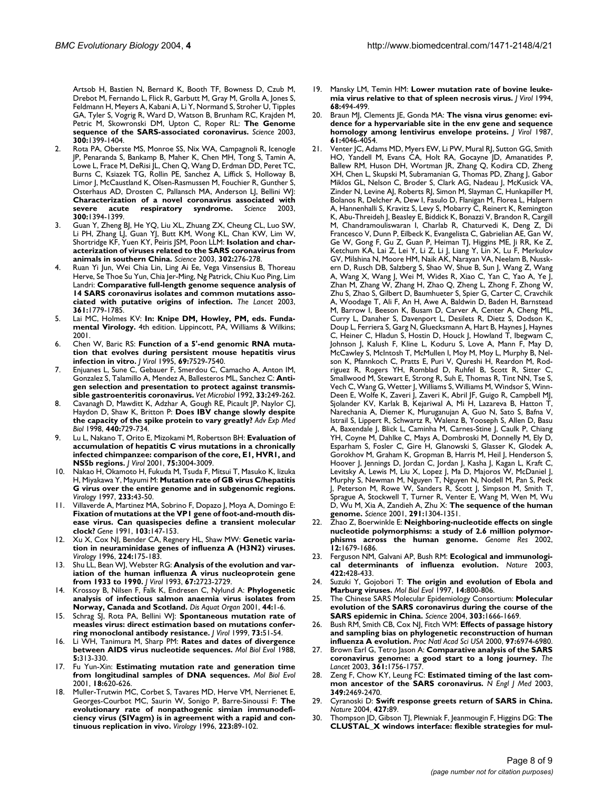Artsob H, Bastien N, Bernard K, Booth TF, Bowness D, Czub M, Drebot M, Fernando L, Flick R, Garbutt M, Gray M, Grolla A, Jones S, Feldmann H, Meyers A, Kabani A, Li Y, Normand S, Stroher U, Tipples GA, Tyler S, Vogrig R, Ward D, Watson B, Brunham RC, Krajden M, Petric M, Skowronski DM, Upton C, Roper RL: **[The Genome](http://www.ncbi.nlm.nih.gov/entrez/query.fcgi?cmd=Retrieve&db=PubMed&dopt=Abstract&list_uids=10.1126/science.1085953) [sequence of the SARS-associated coronavirus](http://www.ncbi.nlm.nih.gov/entrez/query.fcgi?cmd=Retrieve&db=PubMed&dopt=Abstract&list_uids=10.1126/science.1085953)[.](http://www.ncbi.nlm.nih.gov/entrez/query.fcgi?cmd=Retrieve&db=PubMed&dopt=Abstract&list_uids=12730501)** *Science* 2003, **300:**1399-1404.

- 2. Rota PA, Oberste MS, Monroe SS, Nix WA, Campagnoli R, Icenogle JP, Penaranda S, Bankamp B, Maher K, Chen MH, Tong S, Tamin A, Lowe L, Frace M, DeRisi JL, Chen Q, Wang D, Erdman DD, Peret TC, Burns C, Ksiazek TG, Rollin PE, Sanchez A, Liffick S, Holloway B, Limor J, McCaustland K, Olsen-Rasmussen M, Fouchier R, Gunther S, Osterhaus AD, Drosten C, Pallansch MA, Anderson LJ, Bellini WJ: **[Characterization of a novel coronavirus associated with](http://www.ncbi.nlm.nih.gov/entrez/query.fcgi?cmd=Retrieve&db=PubMed&dopt=Abstract&list_uids=10.1126/science.1085952) [severe acute respiratory syndrome](http://www.ncbi.nlm.nih.gov/entrez/query.fcgi?cmd=Retrieve&db=PubMed&dopt=Abstract&list_uids=10.1126/science.1085952)[.](http://www.ncbi.nlm.nih.gov/entrez/query.fcgi?cmd=Retrieve&db=PubMed&dopt=Abstract&list_uids=12730500)** *Science* 2003, **300:**1394-1399.
- 3. Guan Y, Zheng BJ, He YQ, Liu XL, Zhuang ZX, Cheung CL, Luo SW, Li PH, Zhang LJ, Guan YJ, Butt KM, Wong KL, Chan KW, Lim W, Shortridge KF, Yuen KY, Peiris JSM, Poon LLM: **[Isolation and char](http://www.ncbi.nlm.nih.gov/entrez/query.fcgi?cmd=Retrieve&db=PubMed&dopt=Abstract&list_uids=10.1126/science.1087139)[acterization of viruses related to the SARS coronavirus from](http://www.ncbi.nlm.nih.gov/entrez/query.fcgi?cmd=Retrieve&db=PubMed&dopt=Abstract&list_uids=10.1126/science.1087139) [animals in southern China](http://www.ncbi.nlm.nih.gov/entrez/query.fcgi?cmd=Retrieve&db=PubMed&dopt=Abstract&list_uids=10.1126/science.1087139)[.](http://www.ncbi.nlm.nih.gov/entrez/query.fcgi?cmd=Retrieve&db=PubMed&dopt=Abstract&list_uids=12958366)** *Science* 2003, **302:**276-278.
- 4. Ruan Yi Jun, Wei Chia Lin, Ling Ai Ee, Vega Vinsensius B, Thoreau Herve, Se Thoe Su Yun, Chia Jer-Ming, Ng Patrick, Chiu Kuo Ping, Lim Landri: **[Comparative full-length genome sequence analysis of](http://www.ncbi.nlm.nih.gov/entrez/query.fcgi?cmd=Retrieve&db=PubMed&dopt=Abstract&list_uids=10.1016/S0140-6736(03)13414-9) [14 SARS coronavirus isolates and common mutations asso](http://www.ncbi.nlm.nih.gov/entrez/query.fcgi?cmd=Retrieve&db=PubMed&dopt=Abstract&list_uids=10.1016/S0140-6736(03)13414-9)[ciated with putative origins of infection.](http://www.ncbi.nlm.nih.gov/entrez/query.fcgi?cmd=Retrieve&db=PubMed&dopt=Abstract&list_uids=10.1016/S0140-6736(03)13414-9)** *The Lancet* 2003, **361:**1779-1785.
- 5. Lai MC, Holmes KV: **In: Knipe DM, Howley, PM, eds. Fundamental Virology.** 4th edition. Lippincott, PA, Williams & Wilkins; 2001.
- 6. Chen W, Baric RS: **[Function of a 5'-end genomic RNA muta](http://www.ncbi.nlm.nih.gov/entrez/query.fcgi?cmd=Retrieve&db=PubMed&dopt=Abstract&list_uids=7494259)[tion that evolves during persistent mouse hepatitis virus](http://www.ncbi.nlm.nih.gov/entrez/query.fcgi?cmd=Retrieve&db=PubMed&dopt=Abstract&list_uids=7494259) [infection in vitro.](http://www.ncbi.nlm.nih.gov/entrez/query.fcgi?cmd=Retrieve&db=PubMed&dopt=Abstract&list_uids=7494259)** *J Virol* 1995, **69:**7529-7540.
- 7. Enjuanes L, Sune C, Gebauer F, Smerdou C, Camacho A, Anton IM, Gonzalez S, Talamillo A, Mendez A, Ballesteros ML, Sanchez C: **[Anti](http://www.ncbi.nlm.nih.gov/entrez/query.fcgi?cmd=Retrieve&db=PubMed&dopt=Abstract&list_uids=10.1016/0378-1135(92)90053-V)[gen selection and presentation to protect against transmis](http://www.ncbi.nlm.nih.gov/entrez/query.fcgi?cmd=Retrieve&db=PubMed&dopt=Abstract&list_uids=10.1016/0378-1135(92)90053-V)[sible gastroenteritis coronavirus](http://www.ncbi.nlm.nih.gov/entrez/query.fcgi?cmd=Retrieve&db=PubMed&dopt=Abstract&list_uids=10.1016/0378-1135(92)90053-V)[.](http://www.ncbi.nlm.nih.gov/entrez/query.fcgi?cmd=Retrieve&db=PubMed&dopt=Abstract&list_uids=1282756)** *Vet Microbiol* 1992, **33:**249-262.
- 8. Cavanagh D, Mawditt K, Adzhar A, Gough RE, Picault JP, Naylor CJ, Haydon D, Shaw K, Britton P: **[Does IBV change slowly despite](http://www.ncbi.nlm.nih.gov/entrez/query.fcgi?cmd=Retrieve&db=PubMed&dopt=Abstract&list_uids=9782351) [the capacity of the spike protein to vary greatly?](http://www.ncbi.nlm.nih.gov/entrez/query.fcgi?cmd=Retrieve&db=PubMed&dopt=Abstract&list_uids=9782351)** *Adv Exp Med Biol* 1998, **440:**729-734.
- 9. Lu L, Nakano T, Orito E, Mizokami M, Robertson BH: **[Evaluation of](http://www.ncbi.nlm.nih.gov/entrez/query.fcgi?cmd=Retrieve&db=PubMed&dopt=Abstract&list_uids=10.1128/JVI.75.6.3004-3009.2001) [accumulation of hepatitis C virus mutations in a chronically](http://www.ncbi.nlm.nih.gov/entrez/query.fcgi?cmd=Retrieve&db=PubMed&dopt=Abstract&list_uids=10.1128/JVI.75.6.3004-3009.2001) infected chimpanzee: comparison of the core, E1, HVR1, and [NS5b regions](http://www.ncbi.nlm.nih.gov/entrez/query.fcgi?cmd=Retrieve&db=PubMed&dopt=Abstract&list_uids=10.1128/JVI.75.6.3004-3009.2001)[.](http://www.ncbi.nlm.nih.gov/entrez/query.fcgi?cmd=Retrieve&db=PubMed&dopt=Abstract&list_uids=11222726)** *J Virol* 2001, **75:**3004-3009.
- 10. Nakao H, Okamoto H, Fukuda M, Tsuda F, Mitsui T, Masuko K, Iizuka H, Miyakawa Y, Mayumi M: **[Mutation rate of GB virus C/hepatitis](http://www.ncbi.nlm.nih.gov/entrez/query.fcgi?cmd=Retrieve&db=PubMed&dopt=Abstract&list_uids=10.1006/viro.1997.8615) [G virus over the entire genome and in subgenomic regions](http://www.ncbi.nlm.nih.gov/entrez/query.fcgi?cmd=Retrieve&db=PubMed&dopt=Abstract&list_uids=10.1006/viro.1997.8615)[.](http://www.ncbi.nlm.nih.gov/entrez/query.fcgi?cmd=Retrieve&db=PubMed&dopt=Abstract&list_uids=9201215)** *Virology* 1997, **233:**43-50.
- 11. Villaverde A, Martinez MA, Sobrino F, Dopazo J, Moya A, Domingo E: **[Fixation of mutations at the VP1 gene of foot-and-mouth dis](http://www.ncbi.nlm.nih.gov/entrez/query.fcgi?cmd=Retrieve&db=PubMed&dopt=Abstract&list_uids=10.1016/0378-1119(91)90267-F)ease virus. Can quasispecies define a transient molecular [clock?](http://www.ncbi.nlm.nih.gov/entrez/query.fcgi?cmd=Retrieve&db=PubMed&dopt=Abstract&list_uids=10.1016/0378-1119(91)90267-F)** *Gene* 1991, **103:**147-153.
- 12. Xu X, Cox NJ, Bender CA, Regnery HL, Shaw MW: **[Genetic varia](http://www.ncbi.nlm.nih.gov/entrez/query.fcgi?cmd=Retrieve&db=PubMed&dopt=Abstract&list_uids=10.1006/viro.1996.0519)[tion in neuraminidase genes of influenza A \(H3N2\) viruses](http://www.ncbi.nlm.nih.gov/entrez/query.fcgi?cmd=Retrieve&db=PubMed&dopt=Abstract&list_uids=10.1006/viro.1996.0519)[.](http://www.ncbi.nlm.nih.gov/entrez/query.fcgi?cmd=Retrieve&db=PubMed&dopt=Abstract&list_uids=8862412)** *Virology* 1996, **224:**175-183.
- 13. Shu LL, Bean WJ, Webster RG: **[Analysis of the evolution and var](http://www.ncbi.nlm.nih.gov/entrez/query.fcgi?cmd=Retrieve&db=PubMed&dopt=Abstract&list_uids=8474171)[iation of the human influenza A virus nucleoprotein gene](http://www.ncbi.nlm.nih.gov/entrez/query.fcgi?cmd=Retrieve&db=PubMed&dopt=Abstract&list_uids=8474171) [from 1933 to 1990.](http://www.ncbi.nlm.nih.gov/entrez/query.fcgi?cmd=Retrieve&db=PubMed&dopt=Abstract&list_uids=8474171)** *J Virol* 1993, **67:**2723-2729.
- 14. Krossoy B, Nilsen F, Falk K, Endresen C, Nylund A: **[Phylogenetic](http://www.ncbi.nlm.nih.gov/entrez/query.fcgi?cmd=Retrieve&db=PubMed&dopt=Abstract&list_uids=11253869) [analysis of infectious salmon anaemia virus isolates from](http://www.ncbi.nlm.nih.gov/entrez/query.fcgi?cmd=Retrieve&db=PubMed&dopt=Abstract&list_uids=11253869) [Norway, Canada and Scotland.](http://www.ncbi.nlm.nih.gov/entrez/query.fcgi?cmd=Retrieve&db=PubMed&dopt=Abstract&list_uids=11253869)** *Dis Aquat Organ* 2001, **44:**1-6.
- 15. Schrag SJ, Rota PA, Bellini WJ: **[Spontaneous mutation rate of](http://www.ncbi.nlm.nih.gov/entrez/query.fcgi?cmd=Retrieve&db=PubMed&dopt=Abstract&list_uids=9847306) [measles virus: direct estimation based on mutations confer](http://www.ncbi.nlm.nih.gov/entrez/query.fcgi?cmd=Retrieve&db=PubMed&dopt=Abstract&list_uids=9847306)[ring monoclonal antibody resistance.](http://www.ncbi.nlm.nih.gov/entrez/query.fcgi?cmd=Retrieve&db=PubMed&dopt=Abstract&list_uids=9847306)** *J Virol* 1999, **73:**51-54.
- 16. Li WH, Tanimura M, Sharp PM: **[Rates and dates of divergence](http://www.ncbi.nlm.nih.gov/entrez/query.fcgi?cmd=Retrieve&db=PubMed&dopt=Abstract&list_uids=3405075) [between AIDS virus nucleotide sequences.](http://www.ncbi.nlm.nih.gov/entrez/query.fcgi?cmd=Retrieve&db=PubMed&dopt=Abstract&list_uids=3405075)** *Mol Biol Evol* 1988, **5:**313-330.
- 17. Fu Yun-Xin: **[Estimating mutation rate and generation time](http://www.ncbi.nlm.nih.gov/entrez/query.fcgi?cmd=Retrieve&db=PubMed&dopt=Abstract&list_uids=11264414) [from longitudinal samples of DNA sequences.](http://www.ncbi.nlm.nih.gov/entrez/query.fcgi?cmd=Retrieve&db=PubMed&dopt=Abstract&list_uids=11264414)** *Mol Biol Evol* 2001, **18:**620-626.
- 18. Muller-Trutwin MC, Corbet S, Tavares MD, Herve VM, Nerrienet E, Georges-Courbot MC, Saurin W, Sonigo P, Barre-Sinoussi F: **[The](http://www.ncbi.nlm.nih.gov/entrez/query.fcgi?cmd=Retrieve&db=PubMed&dopt=Abstract&list_uids=10.1006/viro.1996.0458) evolutionary rate of nonpathogenic simian immunodefi[ciency virus \(SIVagm\) is in agreement with a rapid and con](http://www.ncbi.nlm.nih.gov/entrez/query.fcgi?cmd=Retrieve&db=PubMed&dopt=Abstract&list_uids=10.1006/viro.1996.0458)[tinuous replication in vivo](http://www.ncbi.nlm.nih.gov/entrez/query.fcgi?cmd=Retrieve&db=PubMed&dopt=Abstract&list_uids=10.1006/viro.1996.0458)[.](http://www.ncbi.nlm.nih.gov/entrez/query.fcgi?cmd=Retrieve&db=PubMed&dopt=Abstract&list_uids=8806543)** *Virology* 1996, **223:**89-102.
- 19. Mansky LM, Temin HM: **[Lower mutation rate of bovine leuke](http://www.ncbi.nlm.nih.gov/entrez/query.fcgi?cmd=Retrieve&db=PubMed&dopt=Abstract&list_uids=8254760)[mia virus relative to that of spleen necrosis virus.](http://www.ncbi.nlm.nih.gov/entrez/query.fcgi?cmd=Retrieve&db=PubMed&dopt=Abstract&list_uids=8254760)** *J Virol* 1994, **68:**494-499.
- 20. Braun MJ, Clements JE, Gonda MA: **[The visna virus genome: evi](http://www.ncbi.nlm.nih.gov/entrez/query.fcgi?cmd=Retrieve&db=PubMed&dopt=Abstract&list_uids=2824836)[dence for a hypervariable site in the env gene and sequence](http://www.ncbi.nlm.nih.gov/entrez/query.fcgi?cmd=Retrieve&db=PubMed&dopt=Abstract&list_uids=2824836) [homology among lentivirus envelope proteins.](http://www.ncbi.nlm.nih.gov/entrez/query.fcgi?cmd=Retrieve&db=PubMed&dopt=Abstract&list_uids=2824836)** *J Virol* 1987, **61:**4046-4054.
- Venter JC, Adams MD, Myers EW, Li PW, Mural RJ, Sutton GG, Smith HO, Yandell M, Evans CA, Holt RA, Gocayne JD, Amanatides P, Ballew RM, Huson DH, Wortman JR, Zhang Q, Kodira CD, Zheng XH, Chen L, Skupski M, Subramanian G, Thomas PD, Zhang J, Gabor Miklos GL, Nelson C, Broder S, Clark AG, Nadeau J, McKusick VA, Zinder N, Levine AJ, Roberts RJ, Simon M, Slayman C, Hunkapiller M, Bolanos R, Delcher A, Dew I, Fasulo D, Flanigan M, Florea L, Halpern A, Hannenhalli S, Kravitz S, Levy S, Mobarry C, Reinert K, Remington K, Abu-Threideh J, Beasley E, Biddick K, Bonazzi V, Brandon R, Cargill M, Chandramouliswaran I, Charlab R, Chaturvedi K, Deng Z, Di Francesco V, Dunn P, Eilbeck K, Evangelista C, Gabrielian AE, Gan W, Ge W, Gong F, Gu Z, Guan P, Heiman TJ, Higgins ME, Ji RR, Ke Z, Ketchum KA, Lai Z, Lei Y, Li Z, Li J, Liang Y, Lin X, Lu F, Merkulov GV, Milshina N, Moore HM, Naik AK, Narayan VA, Neelam B, Nusskern D, Rusch DB, Salzberg S, Shao W, Shue B, Sun J, Wang Z, Wang A, Wang X, Wang J, Wei M, Wides R, Xiao C, Yan C, Yao A, Ye J, Zhan M, Zhang W, Zhang H, Zhao Q, Zheng L, Zhong F, Zhong W, Zhu S, Zhao S, Gilbert D, Baumhueter S, Spier G, Carter C, Cravchik A, Woodage T, Ali F, An H, Awe A, Baldwin D, Baden H, Barnstead M, Barrow I, Beeson K, Busam D, Carver A, Center A, Cheng ML, Curry L, Danaher S, Davenport L, Desilets R, Dietz S, Dodson K, Doup L, Ferriera S, Garg N, Gluecksmann A, Hart B, Haynes J, Haynes C, Heiner C, Hladun S, Hostin D, Houck J, Howland T, Ibegwam C, Johnson J, Kalush F, Kline L, Koduru S, Love A, Mann F, May D, McCawley S, McIntosh T, McMullen I, Moy M, Moy L, Murphy B, Nelson K, Pfannkoch C, Pratts E, Puri V, Qureshi H, Reardon M, Rodriguez R, Rogers YH, Romblad D, Ruhfel B, Scott R, Sitter C, Smallwood M, Stewart E, Strong R, Suh E, Thomas R, Tint NN, Tse S, Vech C, Wang G, Wetter J, Williams S, Williams M, Windsor S, Winn-Deen E, Wolfe K, Zaveri J, Zaveri K, Abril JF, Guigo R, Campbell MJ, Sjolander KV, Karlak B, Kejariwal A, Mi H, Lazareva B, Hatton T, Narechania A, Diemer K, Muruganujan A, Guo N, Sato S, Bafna V, Istrail S, Lippert R, Schwartz R, Walenz B, Yooseph S, Allen D, Basu A, Baxendale J, Blick L, Caminha M, Carnes-Stine J, Caulk P, Chiang YH, Coyne M, Dahlke C, Mays A, Dombroski M, Donnelly M, Ely D, Esparham S, Fosler C, Gire H, Glanowski S, Glasser K, Glodek A, Gorokhov M, Graham K, Gropman B, Harris M, Heil J, Henderson S, Hoover J, Jennings D, Jordan C, Jordan J, Kasha J, Kagan L, Kraft C, Levitsky A, Lewis M, Liu X, Lopez J, Ma D, Majoros W, McDaniel J, Murphy S, Newman M, Nguyen T, Nguyen N, Nodell M, Pan S, Peck J, Peterson M, Rowe W, Sanders R, Scott J, Simpson M, Smith T, Sprague A, Stockwell T, Turner R, Venter E, Wang M, Wen M, Wu D, Wu M, Xia A, Zandieh A, Zhu X: **[The sequence of the human](http://www.ncbi.nlm.nih.gov/entrez/query.fcgi?cmd=Retrieve&db=PubMed&dopt=Abstract&list_uids=10.1126/science.1058040) [genome](http://www.ncbi.nlm.nih.gov/entrez/query.fcgi?cmd=Retrieve&db=PubMed&dopt=Abstract&list_uids=10.1126/science.1058040)[.](http://www.ncbi.nlm.nih.gov/entrez/query.fcgi?cmd=Retrieve&db=PubMed&dopt=Abstract&list_uids=11181995)** *Science* 2001, **291:**1304-1351.
- Zhao Z, Boerwinkle E: [Neighboring-nucleotide effects on single](http://www.ncbi.nlm.nih.gov/entrez/query.fcgi?cmd=Retrieve&db=PubMed&dopt=Abstract&list_uids=10.1101/gr.287302) **[nucleotide polymorphisms: a study of 2.6 million polymor](http://www.ncbi.nlm.nih.gov/entrez/query.fcgi?cmd=Retrieve&db=PubMed&dopt=Abstract&list_uids=10.1101/gr.287302)[phisms across the human genome](http://www.ncbi.nlm.nih.gov/entrez/query.fcgi?cmd=Retrieve&db=PubMed&dopt=Abstract&list_uids=10.1101/gr.287302)[.](http://www.ncbi.nlm.nih.gov/entrez/query.fcgi?cmd=Retrieve&db=PubMed&dopt=Abstract&list_uids=12421754)** *Genome Res* 2002, **12:**1679-1686.
- 23. Ferguson NM, Galvani AP, Bush RM: **[Ecological and immunologi](http://www.ncbi.nlm.nih.gov/entrez/query.fcgi?cmd=Retrieve&db=PubMed&dopt=Abstract&list_uids=10.1038/nature01509)[cal determinants of influenza evolution](http://www.ncbi.nlm.nih.gov/entrez/query.fcgi?cmd=Retrieve&db=PubMed&dopt=Abstract&list_uids=10.1038/nature01509)[.](http://www.ncbi.nlm.nih.gov/entrez/query.fcgi?cmd=Retrieve&db=PubMed&dopt=Abstract&list_uids=12660783)** *Nature* 2003, **422:**428-433.
- Suzuki Y, Gojobori T: [The origin and evolution of Ebola and](http://www.ncbi.nlm.nih.gov/entrez/query.fcgi?cmd=Retrieve&db=PubMed&dopt=Abstract&list_uids=9254917) **[Marburg viruses.](http://www.ncbi.nlm.nih.gov/entrez/query.fcgi?cmd=Retrieve&db=PubMed&dopt=Abstract&list_uids=9254917)** *Mol Biol Evol* 1997, **14:**800-806.
- 25. The Chinese SARS Molecular Epidemiology Consortium: **[Molecular](http://www.ncbi.nlm.nih.gov/entrez/query.fcgi?cmd=Retrieve&db=PubMed&dopt=Abstract&list_uids=10.1126/science.1092002) [evolution of the SARS coronavirus during the course of the](http://www.ncbi.nlm.nih.gov/entrez/query.fcgi?cmd=Retrieve&db=PubMed&dopt=Abstract&list_uids=10.1126/science.1092002) [SARS epidemic in China](http://www.ncbi.nlm.nih.gov/entrez/query.fcgi?cmd=Retrieve&db=PubMed&dopt=Abstract&list_uids=10.1126/science.1092002)[.](http://www.ncbi.nlm.nih.gov/entrez/query.fcgi?cmd=Retrieve&db=PubMed&dopt=Abstract&list_uids=14752165)** *Science* 2004, **303:**1666-1669.
- 26. Bush RM, Smith CB, Cox NJ, Fitch WM: **[Effects of passage history](http://www.ncbi.nlm.nih.gov/entrez/query.fcgi?cmd=Retrieve&db=PubMed&dopt=Abstract&list_uids=10.1073/pnas.97.13.6974) [and sampling bias on phylogenetic reconstruction of human](http://www.ncbi.nlm.nih.gov/entrez/query.fcgi?cmd=Retrieve&db=PubMed&dopt=Abstract&list_uids=10.1073/pnas.97.13.6974) [influenza A evolution](http://www.ncbi.nlm.nih.gov/entrez/query.fcgi?cmd=Retrieve&db=PubMed&dopt=Abstract&list_uids=10.1073/pnas.97.13.6974)[.](http://www.ncbi.nlm.nih.gov/entrez/query.fcgi?cmd=Retrieve&db=PubMed&dopt=Abstract&list_uids=10860959)** *Proc Natl Acad Sci USA* 2000, **97:**6974-6980.
- 27. Brown Earl G, Tetro Jason A: **[Comparative analysis of the SARS](http://www.ncbi.nlm.nih.gov/entrez/query.fcgi?cmd=Retrieve&db=PubMed&dopt=Abstract&list_uids=10.1016/S0140-6736(03)13444-7) [coronavirus genome: a good start to a long journey.](http://www.ncbi.nlm.nih.gov/entrez/query.fcgi?cmd=Retrieve&db=PubMed&dopt=Abstract&list_uids=10.1016/S0140-6736(03)13444-7)** *The Lancet* 2003, **361:**1756-1757.
- 28. Zeng F, Chow KY, Leung FC: **[Estimated timing of the last com](http://www.ncbi.nlm.nih.gov/entrez/query.fcgi?cmd=Retrieve&db=PubMed&dopt=Abstract&list_uids=10.1056/NEJM200312183492523)[mon ancestor of the SARS coronavirus](http://www.ncbi.nlm.nih.gov/entrez/query.fcgi?cmd=Retrieve&db=PubMed&dopt=Abstract&list_uids=10.1056/NEJM200312183492523)[.](http://www.ncbi.nlm.nih.gov/entrez/query.fcgi?cmd=Retrieve&db=PubMed&dopt=Abstract&list_uids=14681521)** *N Engl J Med* 2003, **349:**2469-2470.
- 29. Cyranoski D: **[Swift response greets return of SARS in China.](http://www.ncbi.nlm.nih.gov/entrez/query.fcgi?cmd=Retrieve&db=PubMed&dopt=Abstract&list_uids=14712242)** *Nature* 2004, **427:**89.
- 30. Thompson JD, Gibson TJ, Plewniak F, Jeanmougin F, Higgins DG: **[The](http://www.ncbi.nlm.nih.gov/entrez/query.fcgi?cmd=Retrieve&db=PubMed&dopt=Abstract&list_uids=10.1093/nar/25.24.4876) [CLUSTAL\\_X windows interface: flexible strategies for mul](http://www.ncbi.nlm.nih.gov/entrez/query.fcgi?cmd=Retrieve&db=PubMed&dopt=Abstract&list_uids=10.1093/nar/25.24.4876)-**